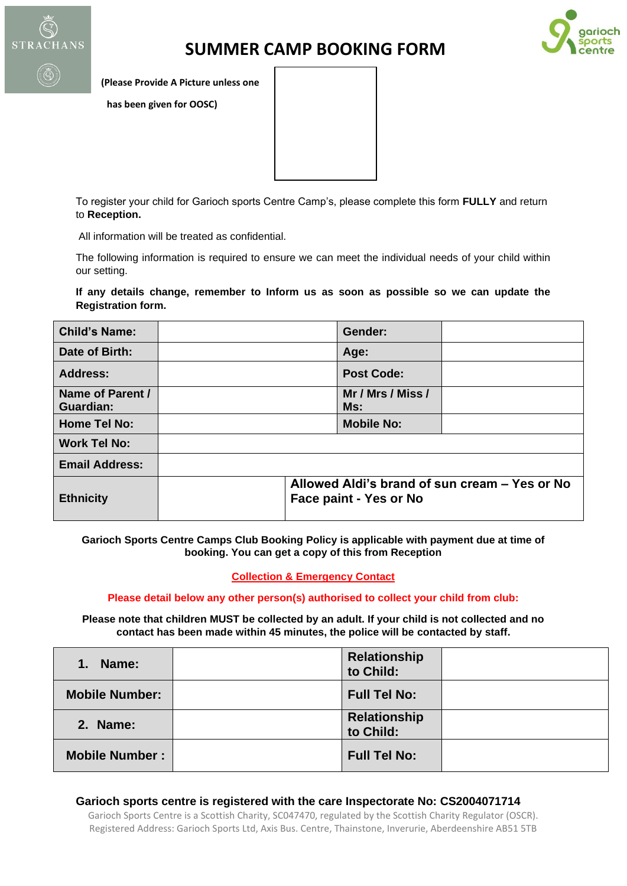

# **SUMMER CAMP BOOKING FORM**



**(Please Provide A Picture unless one**

 **has been given for OOSC)** 

To register your child for Garioch sports Centre Camp's, please complete this form **FULLY** and return to **Reception.**

All information will be treated as confidential.

The following information is required to ensure we can meet the individual needs of your child within our setting.

**If any details change, remember to Inform us as soon as possible so we can update the Registration form.** 

| <b>Child's Name:</b>          | Gender:                                                                 |  |  |  |
|-------------------------------|-------------------------------------------------------------------------|--|--|--|
| Date of Birth:                | Age:                                                                    |  |  |  |
| <b>Address:</b>               | <b>Post Code:</b>                                                       |  |  |  |
| Name of Parent /<br>Guardian: | Mr / Mrs / Miss /<br>Ms:                                                |  |  |  |
| <b>Home Tel No:</b>           | <b>Mobile No:</b>                                                       |  |  |  |
| <b>Work Tel No:</b>           |                                                                         |  |  |  |
| <b>Email Address:</b>         |                                                                         |  |  |  |
| <b>Ethnicity</b>              | Allowed Aldi's brand of sun cream - Yes or No<br>Face paint - Yes or No |  |  |  |

**Garioch Sports Centre Camps Club Booking Policy is applicable with payment due at time of booking. You can get a copy of this from Reception**

#### **Collection & Emergency Contact**

**Please detail below any other person(s) authorised to collect your child from club:** 

**Please note that children MUST be collected by an adult. If your child is not collected and no contact has been made within 45 minutes, the police will be contacted by staff.**

| 1.<br>Name:           | <b>Relationship</b><br>to Child: |  |
|-----------------------|----------------------------------|--|
| <b>Mobile Number:</b> | <b>Full Tel No:</b>              |  |
| 2. Name:              | <b>Relationship</b><br>to Child: |  |
| <b>Mobile Number:</b> | <b>Full Tel No:</b>              |  |

#### **Garioch sports centre is registered with the care Inspectorate No: CS2004071714**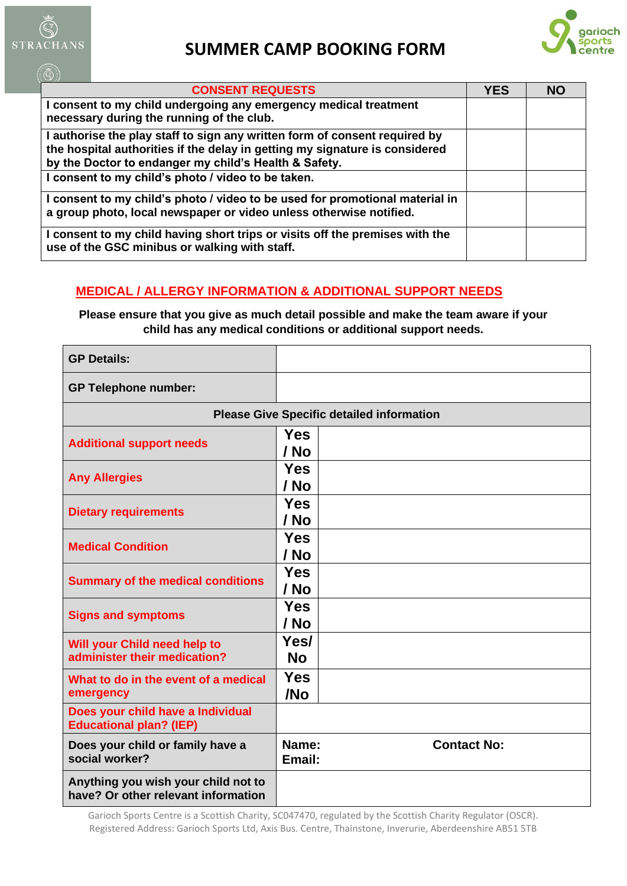

 $(\bar{\mathbb{Q}})$ 

## **SUMMER CAMP BOOKING FORM**



| <b>CONSENT REQUESTS</b>                                                                                                                                                                                            | <b>YES</b> | <b>NO</b> |
|--------------------------------------------------------------------------------------------------------------------------------------------------------------------------------------------------------------------|------------|-----------|
| I consent to my child undergoing any emergency medical treatment<br>necessary during the running of the club.                                                                                                      |            |           |
| I authorise the play staff to sign any written form of consent required by<br>the hospital authorities if the delay in getting my signature is considered<br>by the Doctor to endanger my child's Health & Safety. |            |           |
| I consent to my child's photo / video to be taken.                                                                                                                                                                 |            |           |
| I consent to my child's photo / video to be used for promotional material in<br>a group photo, local newspaper or video unless otherwise notified.                                                                 |            |           |
| I consent to my child having short trips or visits off the premises with the<br>use of the GSC minibus or walking with staff.                                                                                      |            |           |

## **MEDICAL / ALLERGY INFORMATION & ADDITIONAL SUPPORT NEEDS**

**Please ensure that you give as much detail possible and make the team aware if your child has any medical conditions or additional support needs.**

| <b>GP Details:</b>                                                         |                                                  |
|----------------------------------------------------------------------------|--------------------------------------------------|
| <b>GP Telephone number:</b>                                                |                                                  |
|                                                                            | <b>Please Give Specific detailed information</b> |
| <b>Additional support needs</b>                                            | <b>Yes</b><br>/ No                               |
| <b>Any Allergies</b>                                                       | <b>Yes</b><br>/ No                               |
| <b>Dietary requirements</b>                                                | <b>Yes</b><br>/ No                               |
| <b>Medical Condition</b>                                                   | <b>Yes</b><br>/ No                               |
| <b>Summary of the medical conditions</b>                                   | <b>Yes</b><br>/ No                               |
| <b>Signs and symptoms</b>                                                  | <b>Yes</b><br>/ No                               |
| Will your Child need help to<br>administer their medication?               | Yes/<br><b>No</b>                                |
| What to do in the event of a medical<br>emergency                          | <b>Yes</b><br>/No                                |
| Does your child have a Individual<br><b>Educational plan? (IEP)</b>        |                                                  |
| Does your child or family have a<br>social worker?                         | Name:<br><b>Contact No:</b><br>Email:            |
| Anything you wish your child not to<br>have? Or other relevant information |                                                  |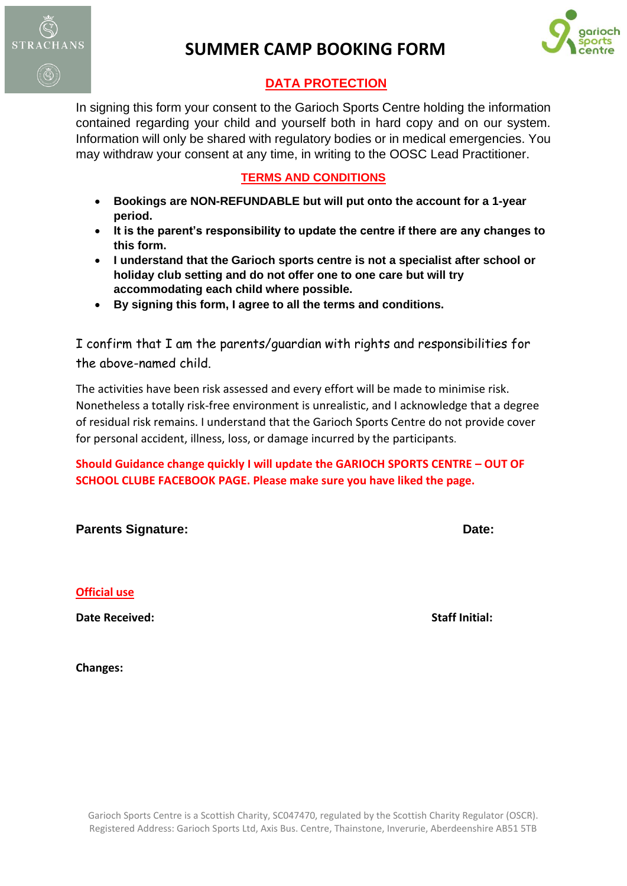

## **SUMMER CAMP BOOKING FORM**



### **DATA PROTECTION**

In signing this form your consent to the Garioch Sports Centre holding the information contained regarding your child and yourself both in hard copy and on our system. Information will only be shared with regulatory bodies or in medical emergencies. You may withdraw your consent at any time, in writing to the OOSC Lead Practitioner.

### **TERMS AND CONDITIONS**

- **Bookings are NON-REFUNDABLE but will put onto the account for a 1-year period.**
- **It is the parent's responsibility to update the centre if there are any changes to this form.**
- **I understand that the Garioch sports centre is not a specialist after school or holiday club setting and do not offer one to one care but will try accommodating each child where possible.**
- **By signing this form, I agree to all the terms and conditions.**

I confirm that I am the parents/guardian with rights and responsibilities for the above-named child.

The activities have been risk assessed and every effort will be made to minimise risk. Nonetheless a totally risk-free environment is unrealistic, and I acknowledge that a degree of residual risk remains. I understand that the Garioch Sports Centre do not provide cover for personal accident, illness, loss, or damage incurred by the participants.

**Should Guidance change quickly I will update the GARIOCH SPORTS CENTRE – OUT OF SCHOOL CLUBE FACEBOOK PAGE. Please make sure you have liked the page.** 

| <b>Parents Signature:</b>                    | Date:                 |
|----------------------------------------------|-----------------------|
|                                              |                       |
| <b>Official use</b><br><b>Date Received:</b> | <b>Staff Initial:</b> |
|                                              |                       |

**Changes:**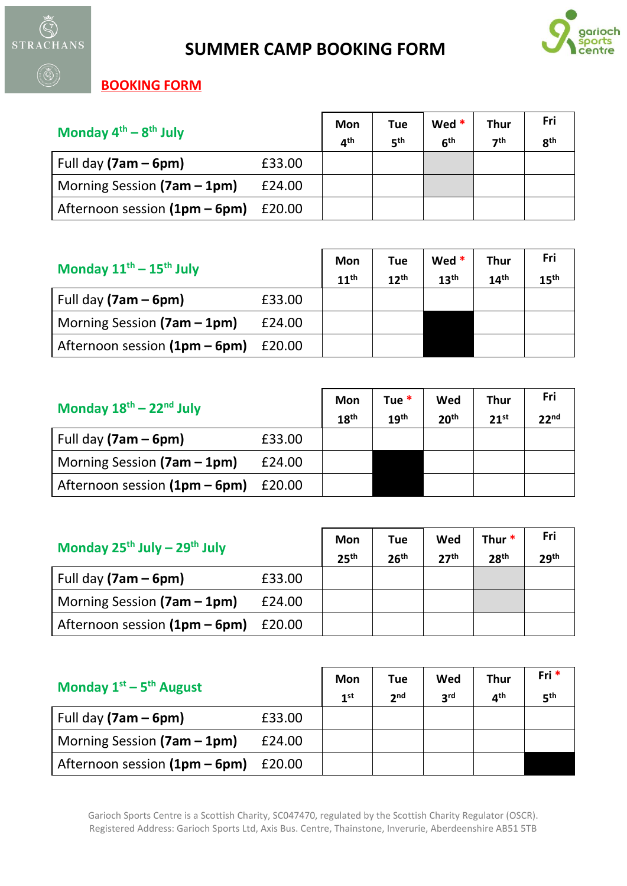



## **BOOKING FORM**

| Monday $4^{th} - 8^{th}$ July |        | Mon<br>⊿th | Tue<br>ςth | Wed *<br>6 <sup>th</sup> | Thur<br>7 <sup>th</sup> | Fri<br>8 <sup>th</sup> |
|-------------------------------|--------|------------|------------|--------------------------|-------------------------|------------------------|
| Full day $(7am - 6pm)$        | £33.00 |            |            |                          |                         |                        |
| Morning Session $(7am - 1pm)$ | £24.00 |            |            |                          |                         |                        |
| Afternoon session (1pm - 6pm) | £20.00 |            |            |                          |                         |                        |

| Monday $11^{\text{th}} - 15^{\text{th}}$ July |        | Mon<br>11 <sup>th</sup> | <b>Tue</b><br>12 <sup>th</sup> | Wed $*$<br>13 <sup>th</sup> | Thur<br>14 <sup>th</sup> | Fri<br>15 <sup>th</sup> |
|-----------------------------------------------|--------|-------------------------|--------------------------------|-----------------------------|--------------------------|-------------------------|
| Full day $(7am - 6pm)$                        | £33.00 |                         |                                |                             |                          |                         |
| Morning Session $(7am - 1pm)$                 | £24.00 |                         |                                |                             |                          |                         |
| Afternoon session (1pm - 6pm)                 | £20.00 |                         |                                |                             |                          |                         |

| Monday $18^{\text{th}} - 22^{\text{nd}}$ July |        | Mon<br>18 <sup>th</sup> | Tue $*$<br>19 <sup>th</sup> | Wed<br>20 <sup>th</sup> | <b>Thur</b><br>21 <sup>st</sup> | Fri<br>22 <sup>nd</sup> |
|-----------------------------------------------|--------|-------------------------|-----------------------------|-------------------------|---------------------------------|-------------------------|
| Full day $(7am - 6pm)$                        | £33.00 |                         |                             |                         |                                 |                         |
| Morning Session $(7am - 1pm)$                 | £24.00 |                         |                             |                         |                                 |                         |
| Afternoon session $(1pm - 6pm)$               | £20.00 |                         |                             |                         |                                 |                         |

| Monday $25^{th}$ July - $29^{th}$ July |        | Mon<br>25 <sup>th</sup> | Tue<br>26 <sup>th</sup> | Wed<br>27 <sup>th</sup> | Thur $*$<br>28 <sup>th</sup> | Fri<br>29 <sup>th</sup> |
|----------------------------------------|--------|-------------------------|-------------------------|-------------------------|------------------------------|-------------------------|
| Full day $(7am - 6pm)$                 | £33.00 |                         |                         |                         |                              |                         |
| Morning Session (7am - 1pm)            | £24.00 |                         |                         |                         |                              |                         |
| Afternoon session (1pm - 6pm)          | £20.00 |                         |                         |                         |                              |                         |

| Monday $1^{st}$ – 5 <sup>th</sup> August |        | Mon<br>1 <sup>st</sup> | Tue<br>2 <sub>nd</sub> | Wed<br><b>2rd</b> | <b>Thur</b><br>⊿th | Fri*<br>5 <sup>th</sup> |
|------------------------------------------|--------|------------------------|------------------------|-------------------|--------------------|-------------------------|
| Full day $(7am - 6pm)$                   | £33.00 |                        |                        |                   |                    |                         |
| Morning Session $(7am - 1pm)$            | £24.00 |                        |                        |                   |                    |                         |
| Afternoon session $(1pm - 6pm)$          | £20.00 |                        |                        |                   |                    |                         |